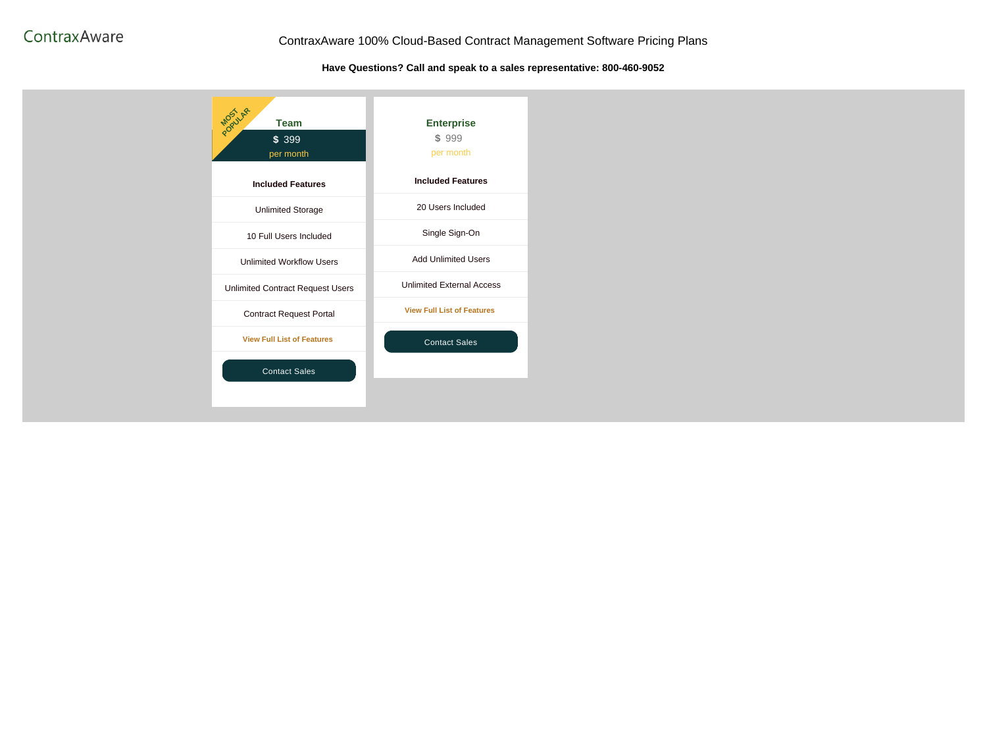#### ContraxAware 100% Cloud-Based Contract Management Software Pricing Plans

Have Questions? Call and speak to a sales representative: 800-460-9052

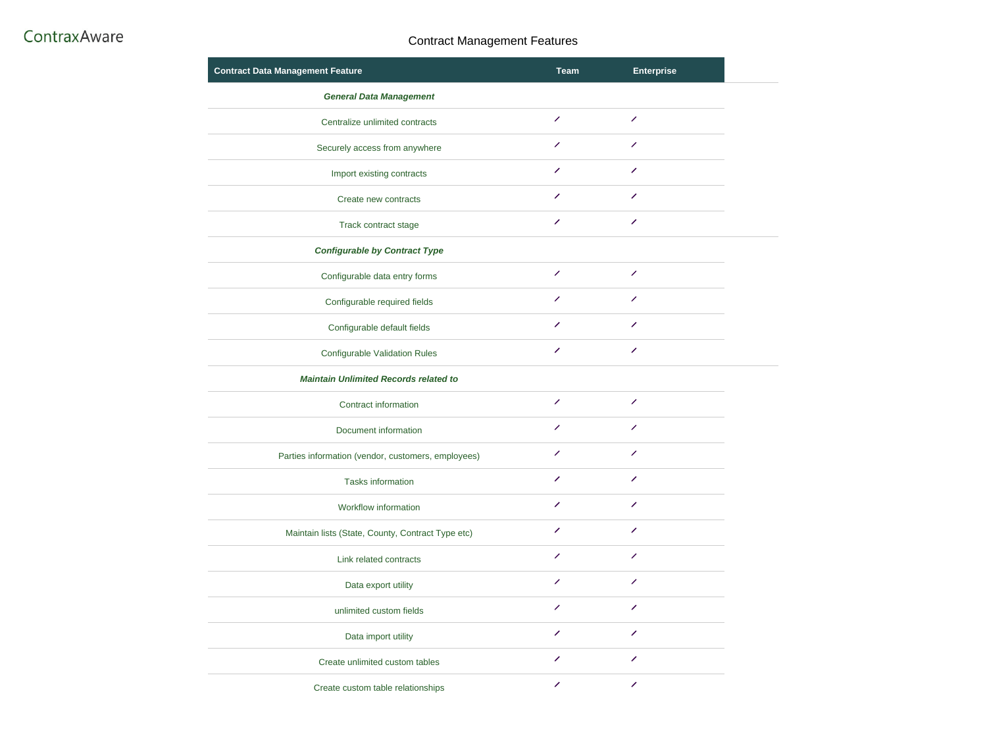#### **Contract Management Features**

| <b>Contract Data Management Feature</b>            | <b>Team</b>              |
|----------------------------------------------------|--------------------------|
| <b>General Data Management</b>                     |                          |
| Centralize unlimited contracts                     | ╱                        |
| Securely access from anywhere                      | ╱                        |
| Import existing contracts                          | ╱                        |
| Create new contracts                               | ╱                        |
| <b>Track contract stage</b>                        | ╱                        |
| <b>Configurable by Contract Type</b>               |                          |
| Configurable data entry forms                      | ╱                        |
| Configurable required fields                       | ╱                        |
| Configurable default fields                        | ╱                        |
| <b>Configurable Validation Rules</b>               |                          |
| <b>Maintain Unlimited Records related to</b>       |                          |
| <b>Contract information</b>                        | $\overline{\mathscr{S}}$ |
| Document information                               | ∕                        |
| Parties information (vendor, customers, employees) | ╱                        |
| <b>Tasks information</b>                           | $\overline{\phantom{a}}$ |
| <b>Workflow information</b>                        | <sup>1</sup>             |
| Maintain lists (State, County, Contract Type etc)  | ╱                        |
| Link related contracts                             | ╱                        |
| Data export utility                                | $\overline{\mathscr{S}}$ |
| unlimited custom fields                            | ╱                        |
| Data import utility                                | ╱                        |
| Create unlimited custom tables                     | $\overline{\phantom{a}}$ |
| Create custom table relationships                  | <b>Septiment</b>         |

| <b>Enterprise</b> |
|-------------------|
|-------------------|

| the contract of the contract of the contract of the contract of the contract of the contract of the contract of |
|-----------------------------------------------------------------------------------------------------------------|

- $\begin{array}{c} \begin{array}{c} \begin{array}{c} \end{array} \end{array} \end{array}$  $\begin{array}{c} \begin{array}{c} \mathbf{1} \end{array} \end{array}$
- 
- $\begin{array}{c} \begin{array}{c} \mathbf{1} \end{array} \end{array}$  $\mathscr{L}^{\mathbb{R}}$  $\mathscr{L}^{\mathbb{R}}$
- $\begin{array}{c} \begin{array}{c} \mathbf{1} \end{array} \end{array}$
- - $\begin{array}{c} \begin{array}{c} \begin{array}{c} \end{array} \end{array} \end{array}$  $\label{eq:2} \mathcal{L}_{\text{eff}}^{\text{max}}(\mathbf{r})$
	- $\mathscr{L}^{\mathscr{L}}$
	- $\mathscr{L}$
	- $\mathcal{L}^{\text{max}}$
- $\mathcal{L}^{\text{max}}$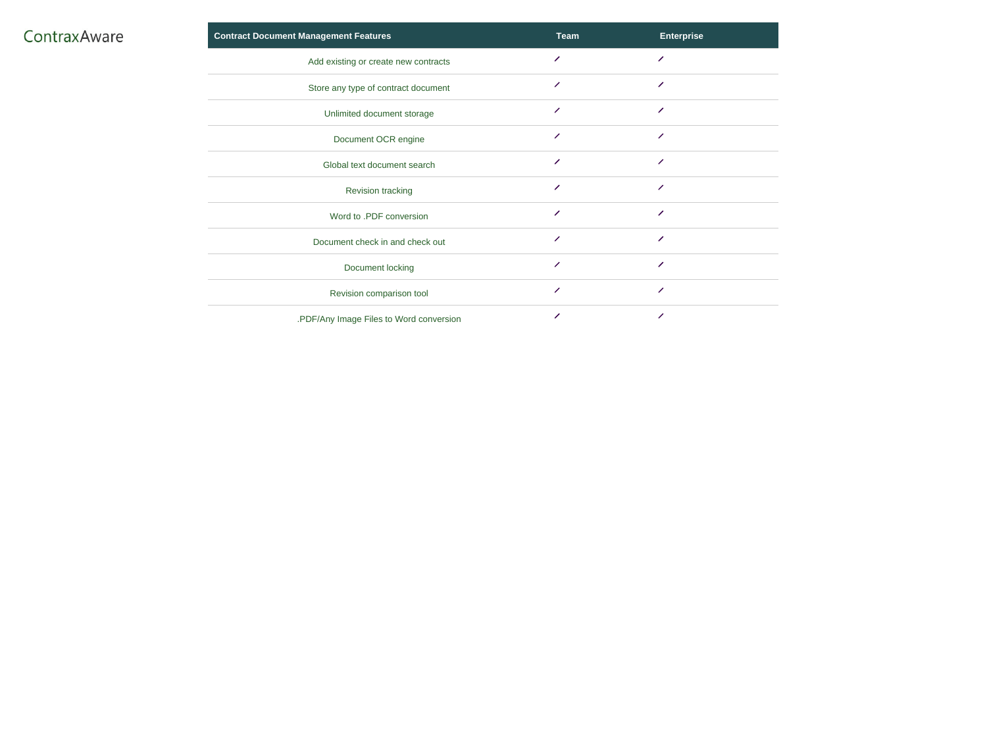| <b>Contract Document Management Features</b> | <b>Team</b>              |
|----------------------------------------------|--------------------------|
| Add existing or create new contracts         | ╱                        |
| Store any type of contract document          |                          |
| Unlimited document storage                   |                          |
| Document OCR engine                          | ╱                        |
| Global text document search                  | $\overline{\phantom{a}}$ |
| <b>Revision tracking</b>                     | ╱                        |
| Word to .PDF conversion                      | $\overline{\mathscr{S}}$ |
| Document check in and check out              | ╱                        |
| Document locking                             | $\overline{\phantom{a}}$ |
| Revision comparison tool                     | ╱                        |
| .PDF/Any Image Files to Word conversion      | ╱                        |

| <b>Enterprise</b>        |
|--------------------------|
| $\overline{\phantom{a}}$ |
| $\overline{\mathscr{S}}$ |
| $\overline{\mathscr{S}}$ |
| $\overline{\phantom{a}}$ |
| $\overline{\phantom{a}}$ |
| $\overline{\mathscr{S}}$ |
| $\overline{\mathscr{S}}$ |
| $\overline{\mathscr{S}}$ |
| $\overline{\mathscr{S}}$ |
| $\overline{\mathscr{S}}$ |
| $\overline{\mathscr{S}}$ |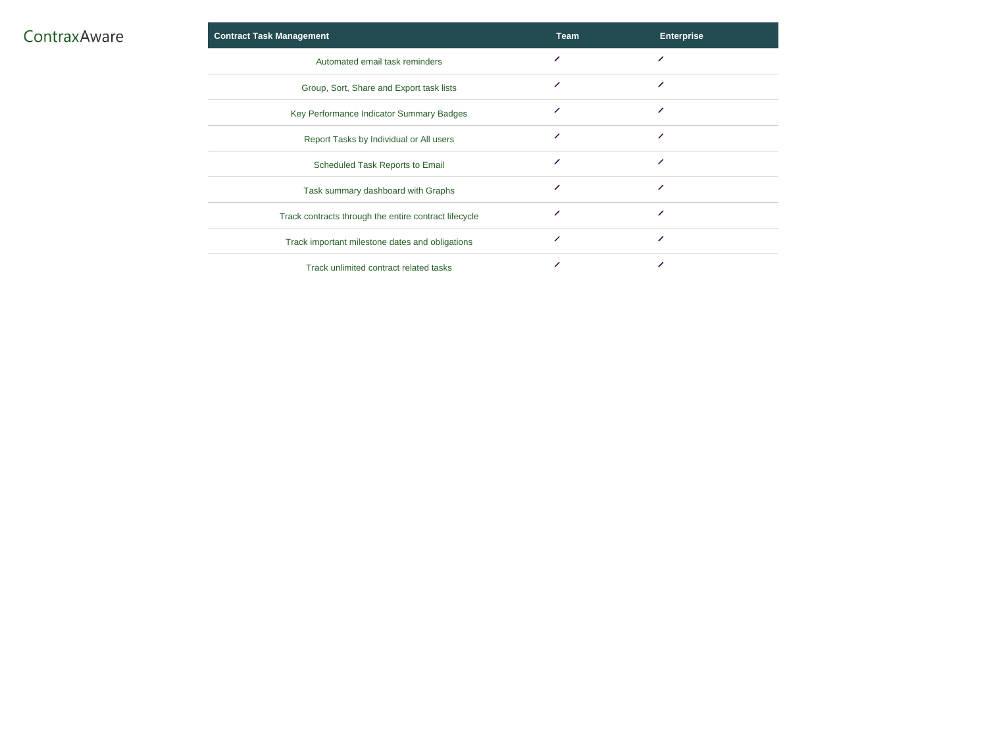|  |  | ContraxAware |  |
|--|--|--------------|--|
|  |  |              |  |

| <b>Contract Task Management</b>                       | <b>Team</b> | <b>Enterprise</b> |
|-------------------------------------------------------|-------------|-------------------|
| Automated email task reminders                        |             |                   |
| Group, Sort, Share and Export task lists              | ╱           |                   |
| Key Performance Indicator Summary Badges              |             |                   |
| Report Tasks by Individual or All users               |             |                   |
| <b>Scheduled Task Reports to Email</b>                |             |                   |
| Task summary dashboard with Graphs                    |             |                   |
| Track contracts through the entire contract lifecycle |             |                   |
| Track important milestone dates and obligations       |             | ╱                 |
| Track unlimited contract related tasks                |             |                   |

| <b>Enterprise</b>        |
|--------------------------|
| $\overline{\mathscr{S}}$ |
| $\overline{\mathscr{L}}$ |
| $\overline{\mathscr{S}}$ |
| $\overline{\mathscr{S}}$ |
| $\overline{\mathscr{S}}$ |
| ╱                        |
| $\overline{\mathscr{S}}$ |
| $\overline{\mathscr{S}}$ |
| $\overline{\phantom{a}}$ |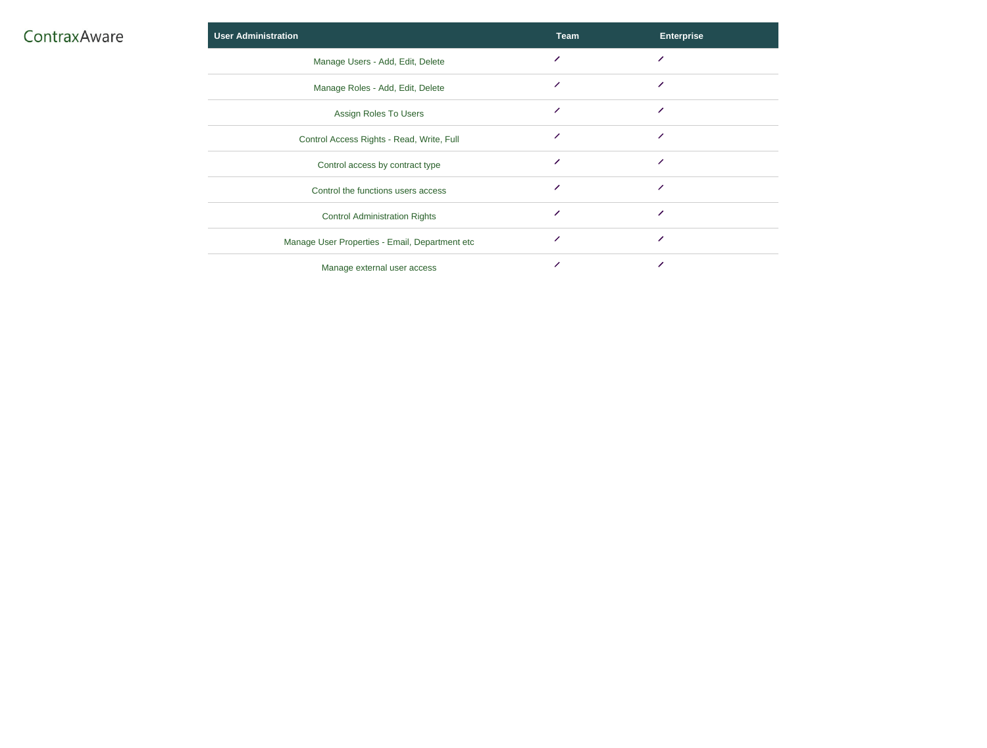| <b>User Administration</b>                     | <b>Team</b> |
|------------------------------------------------|-------------|
| Manage Users - Add, Edit, Delete               | ╱           |
| Manage Roles - Add, Edit, Delete               | ╱           |
| <b>Assign Roles To Users</b>                   | ╱           |
| Control Access Rights - Read, Write, Full      | ╱           |
| Control access by contract type                | ╱           |
| Control the functions users access             | ╱           |
| <b>Control Administration Rights</b>           | Z           |
| Manage User Properties - Email, Department etc | ∕           |
| Manage external user access                    |             |

| <b>Enterprise</b>        |
|--------------------------|
| $\overline{\mathscr{S}}$ |
| $\overline{\mathscr{S}}$ |
| ╱                        |
| ╱                        |
| $\overline{\mathscr{S}}$ |
| $\overline{\mathscr{S}}$ |
| $\overline{\mathscr{S}}$ |
| $\overline{\mathscr{S}}$ |
|                          |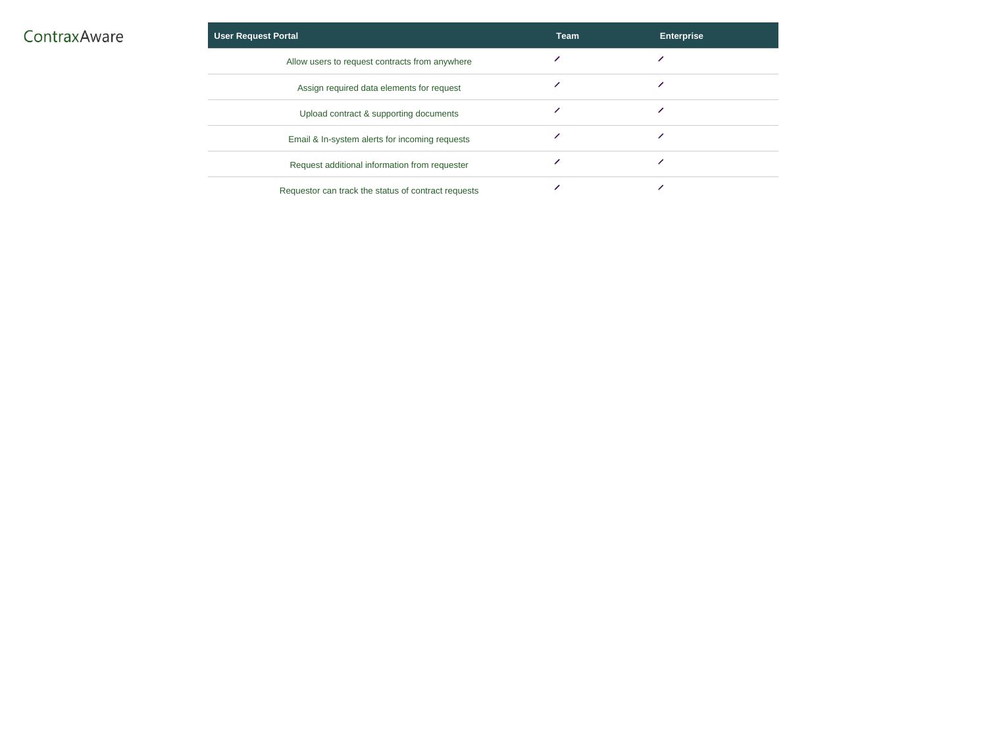| <b>User Request Portal</b>                          | <b>Team</b> | <b>Enterprise</b> |
|-----------------------------------------------------|-------------|-------------------|
| Allow users to request contracts from anywhere      |             |                   |
| Assign required data elements for request           |             |                   |
| Upload contract & supporting documents              |             |                   |
| Email & In-system alerts for incoming requests      |             |                   |
| Request additional information from requester       |             |                   |
| Requestor can track the status of contract requests |             |                   |

| <b>Enterprise</b> |
|-------------------|
|                   |
|                   |
|                   |
|                   |
|                   |
|                   |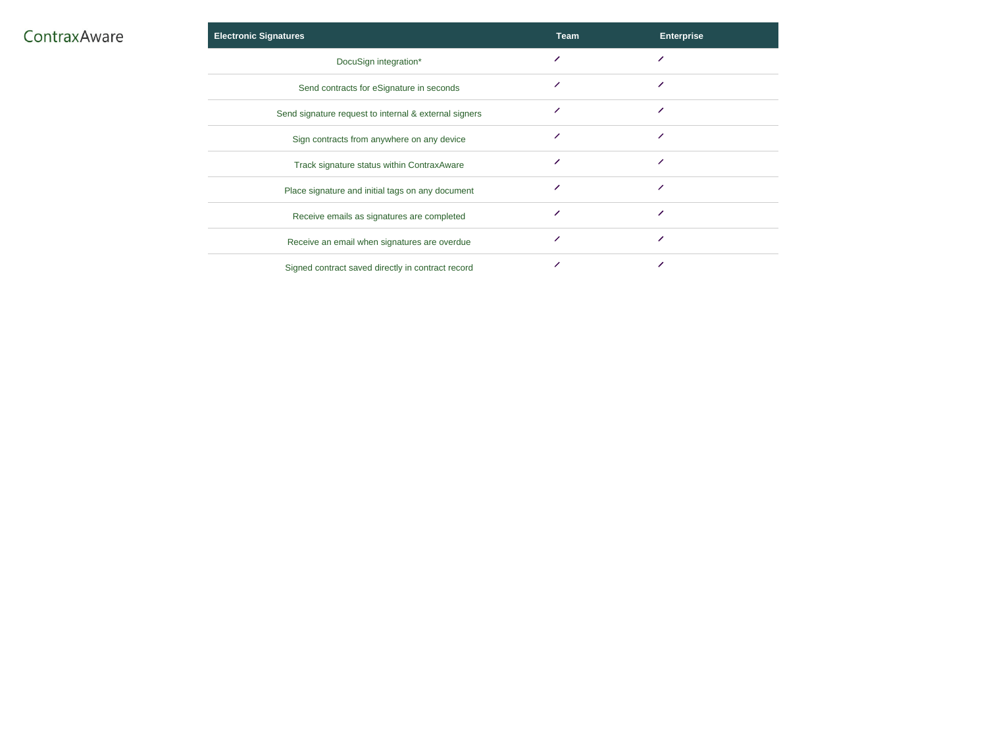|  |  | ContraxAware |  |
|--|--|--------------|--|
|  |  |              |  |

| <b>Electronic Signatures</b>                          | <b>Team</b> | <b>Enterprise</b> |
|-------------------------------------------------------|-------------|-------------------|
| DocuSign integration*                                 |             |                   |
| Send contracts for eSignature in seconds              |             |                   |
| Send signature request to internal & external signers |             |                   |
| Sign contracts from anywhere on any device            |             |                   |
| Track signature status within ContraxAware            |             |                   |
| Place signature and initial tags on any document      |             |                   |
| Receive emails as signatures are completed            |             |                   |
| Receive an email when signatures are overdue          |             |                   |
| Signed contract saved directly in contract record     |             |                   |

| <b>Enterprise</b>        |
|--------------------------|
| $\overline{\mathscr{S}}$ |
| $\overline{\mathscr{L}}$ |
| ╱                        |
| $\overline{\mathscr{L}}$ |
| $\overline{\mathscr{S}}$ |
| $\overline{\mathscr{S}}$ |
| ╱                        |
| ╱                        |
| ╱                        |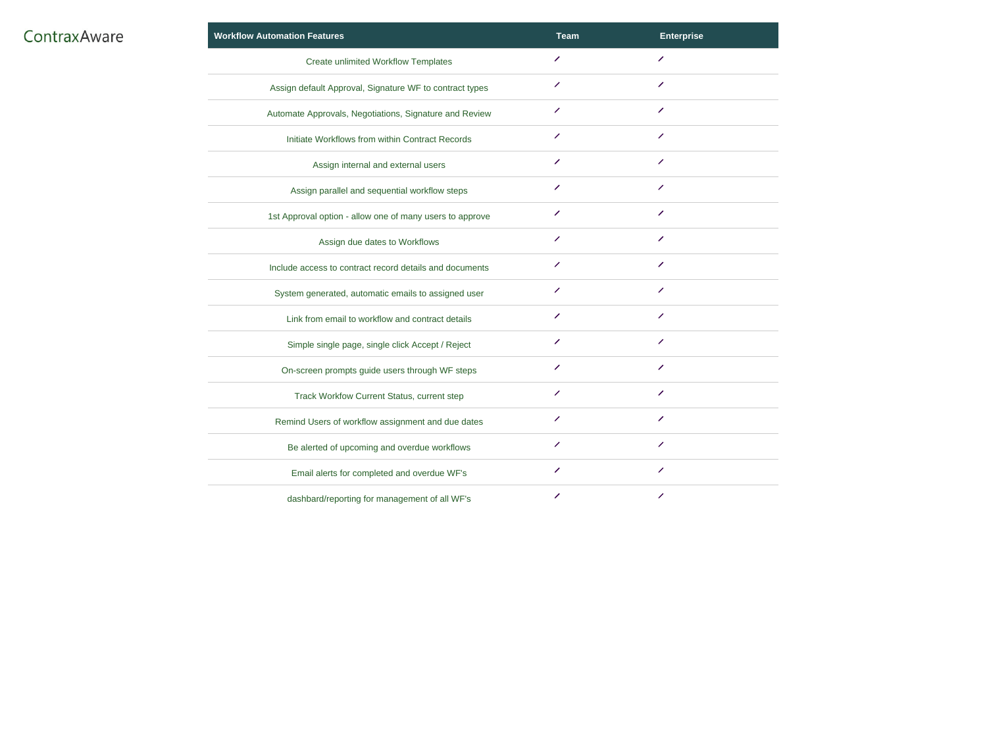| ContraxAware |  |  |  |  |  |
|--------------|--|--|--|--|--|
|              |  |  |  |  |  |

| <b>Workflow Automation Features</b>                      | <b>Team</b>              | <b>Enterprise</b>        |
|----------------------------------------------------------|--------------------------|--------------------------|
| <b>Create unlimited Workflow Templates</b>               | ╱                        | ╱                        |
| Assign default Approval, Signature WF to contract types  | ╱                        | $\overline{\phantom{a}}$ |
| Automate Approvals, Negotiations, Signature and Review   | ╱                        | ╱                        |
| Initiate Workflows from within Contract Records          |                          | ╱                        |
| Assign internal and external users                       | ╱                        | ╱                        |
| Assign parallel and sequential workflow steps            | ╱                        | $\overline{\mathscr{S}}$ |
| 1st Approval option - allow one of many users to approve | ╱                        | $\overline{\phantom{a}}$ |
| Assign due dates to Workflows                            | $\overline{\phantom{a}}$ | ╱                        |
| Include access to contract record details and documents  | ╱                        | $\overline{\phantom{a}}$ |
| System generated, automatic emails to assigned user      |                          | <b>Septiment</b>         |
| Link from email to workflow and contract details         |                          | ╱                        |
| Simple single page, single click Accept / Reject         |                          |                          |
| On-screen prompts guide users through WF steps           | ╱                        | ╱                        |
| <b>Track Workfow Current Status, current step</b>        | $\overline{\phantom{a}}$ | ╱                        |
| Remind Users of workflow assignment and due dates        |                          |                          |
| Be alerted of upcoming and overdue workflows             |                          |                          |
| Email alerts for completed and overdue WF's              |                          |                          |
| dashbard/reporting for management of all WF's            | ╱                        |                          |

| <b>Enterprise</b>        |
|--------------------------|
| $\overline{\phantom{a}}$ |
| $\overline{\mathscr{S}}$ |
| $\overline{\mathscr{S}}$ |
| $\overline{\mathscr{S}}$ |
| $\overline{\mathscr{S}}$ |
| $\overline{\mathscr{S}}$ |
| $\overline{\mathscr{S}}$ |
| $\overline{\phantom{a}}$ |
| $\overline{\mathscr{S}}$ |
| $\overline{\mathscr{S}}$ |
| $\overline{\mathscr{S}}$ |
|                          |
| ╱                        |
| $\overline{\mathscr{S}}$ |
| $\overline{\phantom{a}}$ |
| $\overline{\phantom{a}}$ |
| ╱                        |
| $\overline{\phantom{a}}$ |